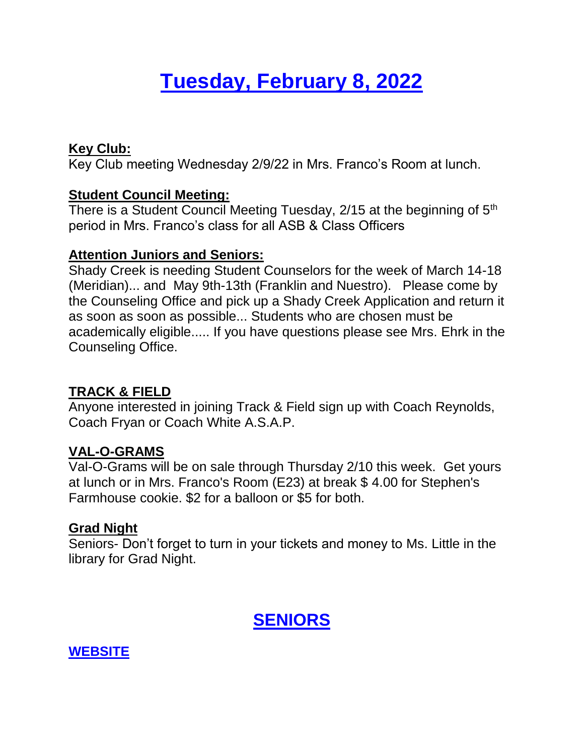# **Tuesday, February 8, 2022**

### **Key Club:**

Key Club meeting Wednesday 2/9/22 in Mrs. Franco's Room at lunch.

### **Student Council Meeting:**

There is a Student Council Meeting Tuesday, 2/15 at the beginning of 5<sup>th</sup> period in Mrs. Franco's class for all ASB & Class Officers

### **Attention Juniors and Seniors:**

Shady Creek is needing Student Counselors for the week of March 14-18 (Meridian)... and May 9th-13th (Franklin and Nuestro). Please come by the Counseling Office and pick up a Shady Creek Application and return it as soon as soon as possible... Students who are chosen must be academically eligible..... If you have questions please see Mrs. Ehrk in the Counseling Office.

# **TRACK & FIELD**

Anyone interested in joining Track & Field sign up with Coach Reynolds, Coach Fryan or Coach White A.S.A.P.

# **VAL-O-GRAMS**

Val-O-Grams will be on sale through Thursday 2/10 this week. Get yours at lunch or in Mrs. Franco's Room (E23) at break \$ 4.00 for Stephen's Farmhouse cookie. \$2 for a balloon or \$5 for both.

#### **Grad Night**

Seniors- Don't forget to turn in your tickets and money to Ms. Little in the library for Grad Night.

# **SENIORS**

# **WEBSITE**